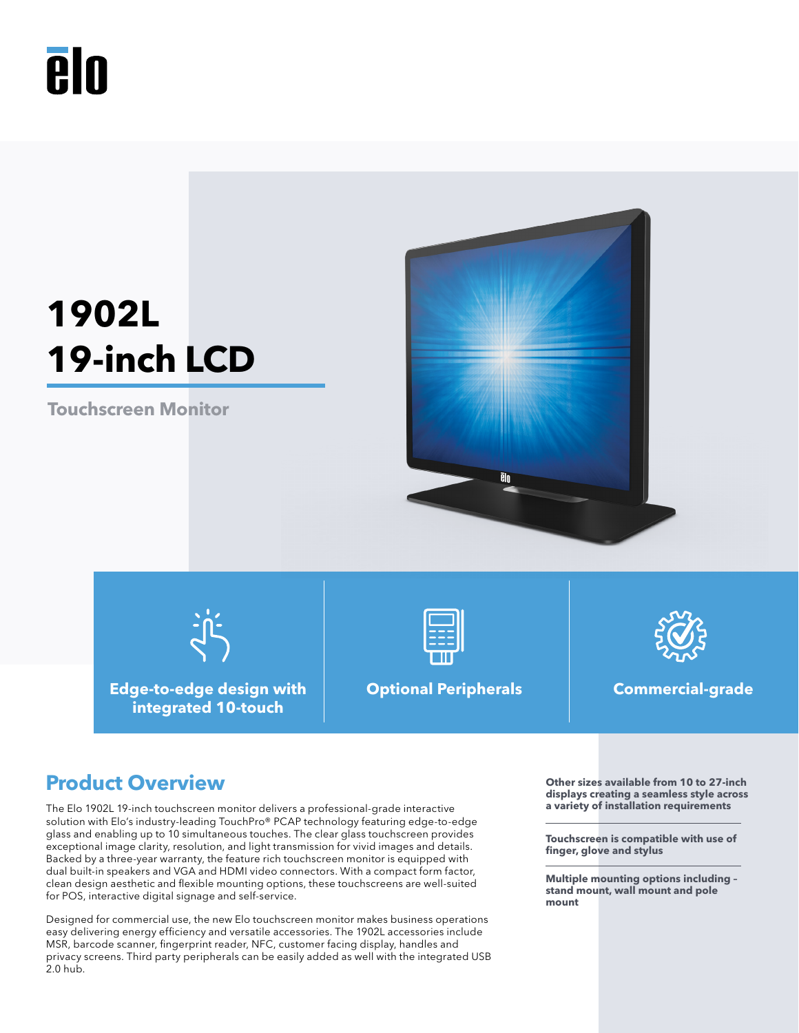# **Aln**

# **1902L 19-inch LCD**

**Touchscreen Monitor**



**Edge-to-edge design with integrated 10-touch**



**Optional Peripherals Commercial-grade**



## **Product Overview OUT A** Other sizes available from 10 to 27-inch

The Elo 1902L 19-inch touchscreen monitor delivers a professional-grade interactive solution with Elo's industry-leading TouchPro® PCAP technology featuring edge-to-edge glass and enabling up to 10 simultaneous touches. The clear glass touchscreen provides exceptional image clarity, resolution, and light transmission for vivid images and details. Backed by a three-year warranty, the feature rich touchscreen monitor is equipped with dual built-in speakers and VGA and HDMI video connectors. With a compact form factor, clean design aesthetic and flexible mounting options, these touchscreens are well-suited for POS, interactive digital signage and self-service.

Designed for commercial use, the new Elo touchscreen monitor makes business operations easy delivering energy efficiency and versatile accessories. The 1902L accessories include MSR, barcode scanner, fingerprint reader, NFC, customer facing display, handles and privacy screens. Third party peripherals can be easily added as well with the integrated USB 2.0 hub.

**displays creating a seamless style across a variety of installation requirements**

**Touchscreen is compatible with use of finger, glove and stylus**

**Multiple mounting options including – stand mount, wall mount and pole mount**